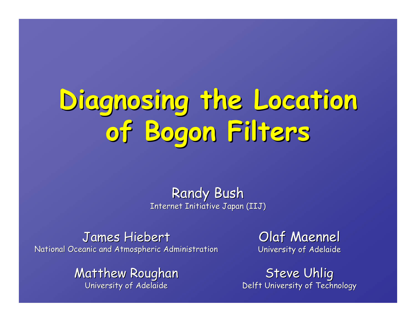# **Diagnosing the Location Diagnosing the Location of Bogon Filters Filters**

**Randy Bush** Internet Initiative Japan (IIJ)

James Hiebert National Oceanic and Atmospheric Administration

> Matthew Roughan University of Adelaide

Olaf Maennel University of Adelaide

Steve Uhlig Delft University of Technology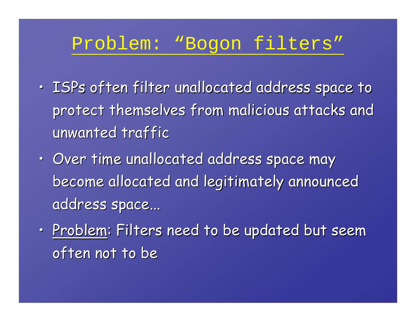# Problem: "Bogon filters"

- • $\cdot$  ISPs often filter unallocated address space to protect themselves from malicious attacks and protect themselves from malicious attacks and unwanted traffic
- •• Over time unallocated address space may become allocated and legitimately announced become allocated and legitimately announced address space...
- •• <u>Problem</u>: Filters need to be updated but seem : often not to be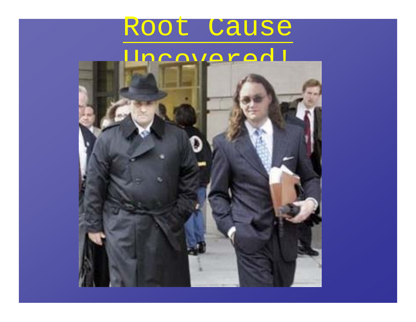# Root Cause

# Undovered!

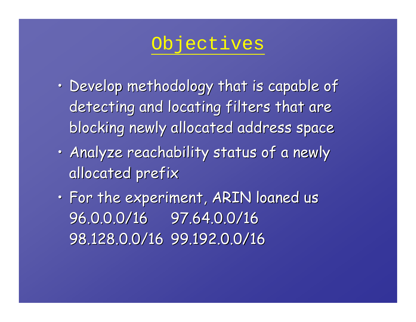# Objectives

- • $\cdot$  Develop methodology that is capable of detecting and locating filters that are blocking newly allocated address space blocking newly allocated address space
- • $\cdot$  Analyze reachability status of a newly allocated prefix
- • $\cdot$  For the experiment, ARIN loaned us 96.0.0.0/16 96.0.0.0/16 97.64.0.0/16 97.64.0.0/16 98.128.0.0/16 98.128.0.0/16 99.192.0.0/16 99.192.0.0/16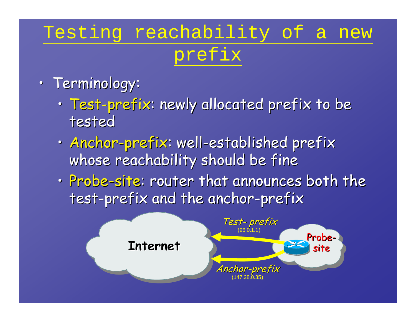# Testing reachability of a new prefix

- • Terminology: Terminology:
	- • $\cdot$  Test-prefix: newly allocated prefix to be  $\cdot$ tested
	- • $\cdot$  Anchor-prefix: well-established prefix whose reachability should be fine
	- •· Probe-site: router that announces both the test-prefix and the anchor-prefix

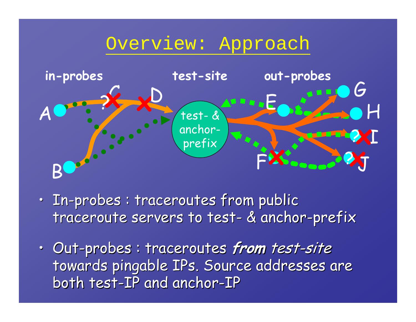# Overview: Approach



- • $\cdot$  In-probes : traceroutes from public  $\cdot$ traceroute servers to test- & anchor-prefix
- • Out-probes : probes : traceroutes traceroutes **from** test-site towards pingable IPs. Source addresses are both test-IP and anchor-IP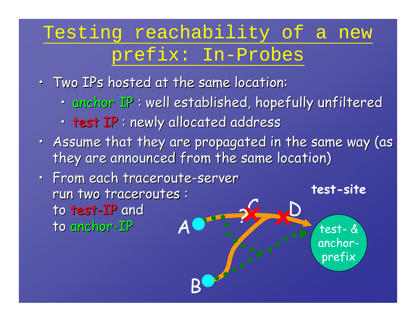# Testing reachability of a new prefix: In-Probes

- •• Two IPs hosted at the same location:
	- • $\cdot$  anchor IP : well established, hopefully unfiltered
	- $\bullet$ • test IP : newly allocated address
- •• Assume that they are propagated in the same way (as  $\mid$ they are announced from the same location)

prefix

•• From each traceroute-server run two traceroutes : to test -IP and to anchor -IP C**test-site** ?**x x**  $\boldsymbol{\mathsf{A}}$ Books. D test- & anchor-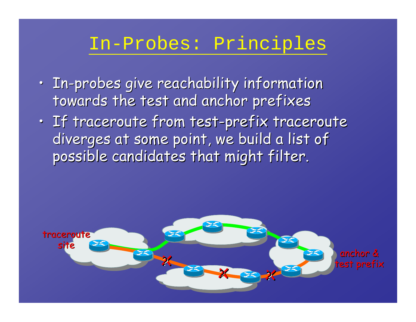# In-Probes: Principles

- • $\cdot$  In-probes give reachability information towards the test and anchor prefixes
- • $\cdot$  If traceroute from test-prefix traceroute diverges at some point, we build a list of possible candidates that might filter.

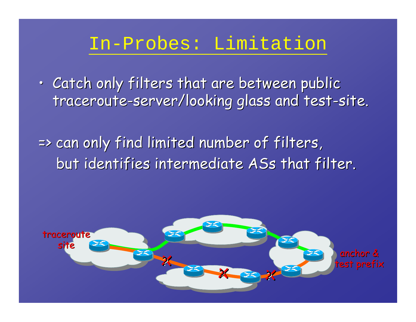# In-Probes: Limitation

• $\cdot$  Catch only filters that are between public traceroute-server/looking glass and test-site.

=> can only find limited number of filters, but identifies intermediate ASs that filter.

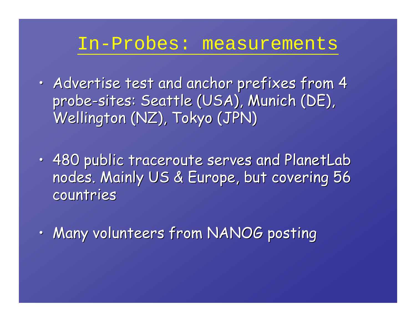### In-Probes: measurements

- •• Advertise test and anchor prefixes from 4  $\,$ probe-sites: Seattle (USA), Munich (DE), Wellington (NZ), Tokyo (JPN)
- • $\cdot$  480 public traceroute serves and PlanetLab nodes. Mainly US & Europe, but covering 56 countries
- •• Many volunteers from NANOG posting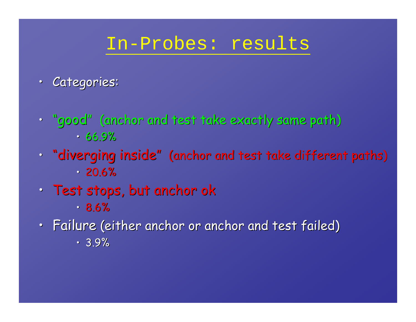# In-Probes: results

- Categories:
- "good" (anchor and test take exactly same path)  $\cdot$  66.9%
- "diverging inside" (anchor and test take different paths)  $\cdot$  20.6%  $\cdot$
- $\bullet$  $\cdot$  Test stops, but anchor ok • 8.6%
- $\bullet$ · Failure (either anchor or anchor and test failed)  $\cdot$  3.9%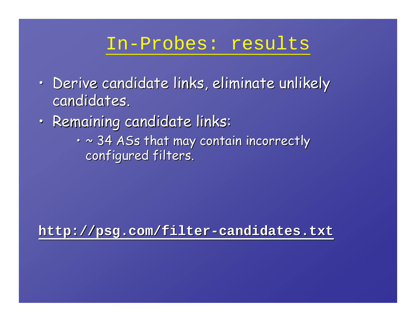# In-Probes: results

- • $\,\cdot\,$  Derive candidate links, eliminate unlikely  $\,$ candidates.
- •• Remaining candidate links:
	- $\cdot$   $\sim$  34 ASs that may contain incorrectly configured filters.

**http://psg.com/filter http://psg.com/filter -candidates.txt candidates.txt**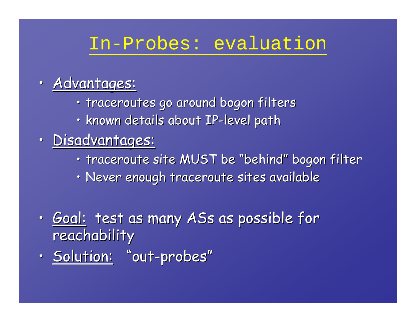# In-Probes: evaluation

#### •• Advantages:

- traceroutes go around bogon filters
- $\cdot$  known details about IP-level path
- •Disadvantages:
	- $\cdot$  traceroute site MUST be "behind" bogon filter
	- $\cdot$  Never enough traceroute sites available
- •• <u>Goal:</u> test as many ASs as possible for reachability
- •• <u>Solution:</u> "out-probes"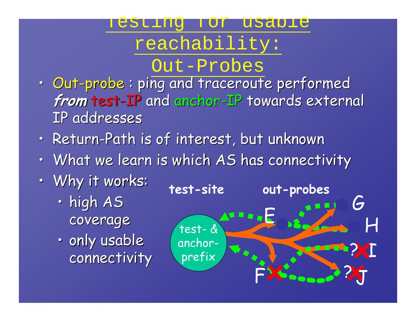#### **TER** for usable

# reachability:

# Out-Probes

- Out-probe : ping and traceroute performed from test-IP and anchor-IP towards external IP addresses IP addresses
- Return-Path is of interest, but unknown
- • $\cdot$  What we learn is which AS has connectivity

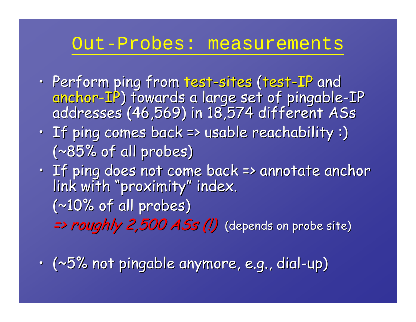# Out-Probes: measurements

- •• Perform ping from test-sites (test-IP and anchor-IP) towards a large set of pingable-IP<br>addresses (46,569) in 18,574 different ASs
- • $\cdot$  If ping comes back => usable reachability :)  $(*85%$  of all probes)
- •• If ping does not come back => annotate anchor<br>link with "proximity" index.  $(*10%$  of all probes)  $\Rightarrow$  roughly 2,500 ASs (!) (depends on probe site)
- • $\cdot$  (~5% not pingable anymore, e.g., dial-up)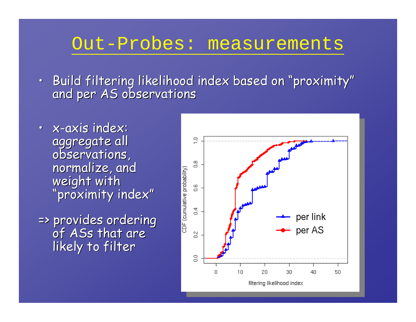### Out-Probes: measurements

- Build filtering likelihood index based on "proximity" and per AS observations
- x-axis index: aggregate all<br>observations, normalize, and<br>weight with "proximity index"
- => provides ordering => provides ordering of ASs that are that are likely to filter

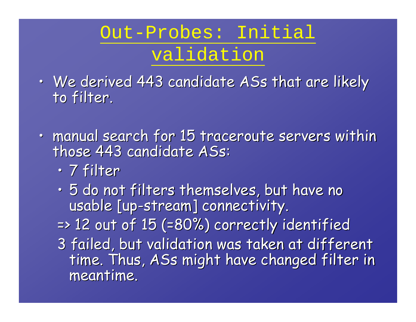# Out-Probes: Initial validation

- •• We derived 443 candidate ASs that are likely to filter.
- •· manual search for 15 traceroute servers within those 443 candidate ASs:
	- •• 7 filter
	- •• 5 do not filters themselves, but have no usable [up-stream] connectivity.  $\,$  $\Rightarrow$  12 out of 15 (=80%) correctly identified 3 failed, but validation was taken at different time. Thus, ASs might have changed filter in meantime.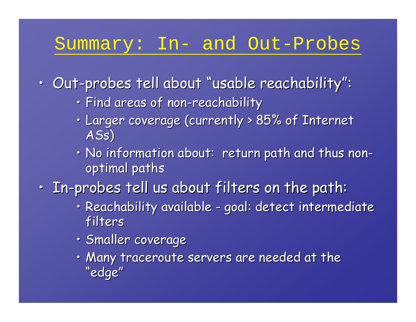# Summary: In- and Out-Probes

- $\cdot$  Out-probes tell about "usable reachability":
	- $\cdot$  Find areas of non-reachability
	- $\bullet$  $\cdot$  Larger coverage (currently > 85% of Internet ASs )
	- $\bm{\cdot}$  No information about: return path and thus non optimal paths
- $\cdot$  In-probes tell us about filters on the path:
	- $\cdot$  Reachability available -- goal: detect intermediate filters
	- Smaller coverage
	- $\cdot$  Many traceroute servers are needed at the  $\cdot$ "edge"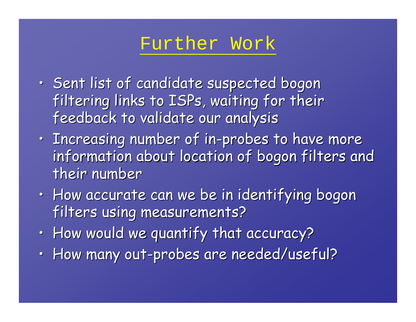# Further Work

- • $\cdot$  Sent list of candidate suspected bogon filtering links to ISPs, waiting for their feedback to validate our analysis
- • $\cdot$  Increasing number of in-probes to have more information about location of bogon filters and their number
- • $\,\cdot\,$  How accurate can we be in identifying bogon filters using measurements?
- • $\cdot$  How would we quantify that accuracy?
- • $\cdot$  How many out-probes are needed/useful?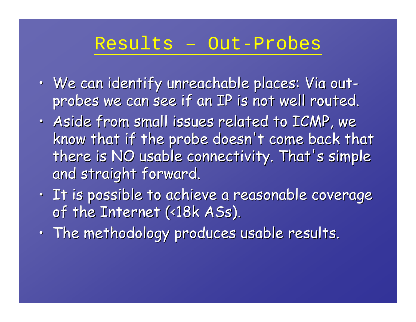### Results – Out-Probes

- • $\,\cdot\,$  We can identify unreachable places: Via out probes we can see if an IP is not well routed.
- •• Aside from small issues related to ICMP, we know that if the probe doesn't come back that there is NO usable connectivity. That's simple and straight forward.
- • $\cdot$  It is possible to achieve a reasonable coverage of the Internet (<18k ASs).
- • $\,\cdot\,$  The methodology produces usable results.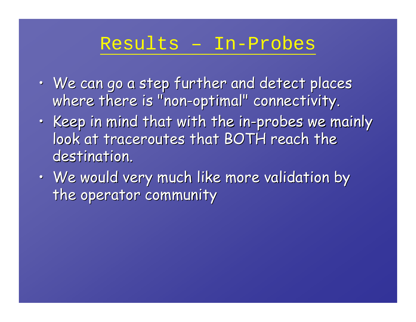# Results – In-Probes

- • $\,\cdot\,$  We can go a step further and detect places where there is "non-optimal" connectivity.
- • $\,\cdot\,$  Keep in mind that with the in-probes we mainly  $\,$ look at traceroutes that BOTH reach the destination.
- • $\,\cdot\,$  We would very much like more validation by the operator community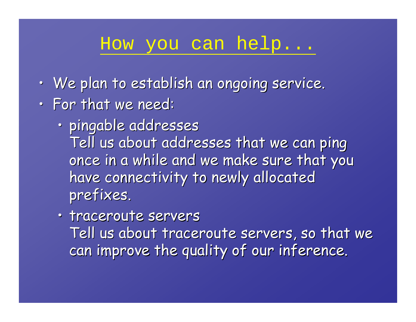# How you can help...

- • $\,\cdot\,$  We plan to establish an ongoing service.
- • $\cdot$  For that we need:
	- •• pingable addresses Tell us about addresses that we can ping once in a while and we make sure that you have connectivity to newly allocated prefixes.
	- traceroute servers

Tell us about traceroute servers, so that we can improve the quality of our inference.